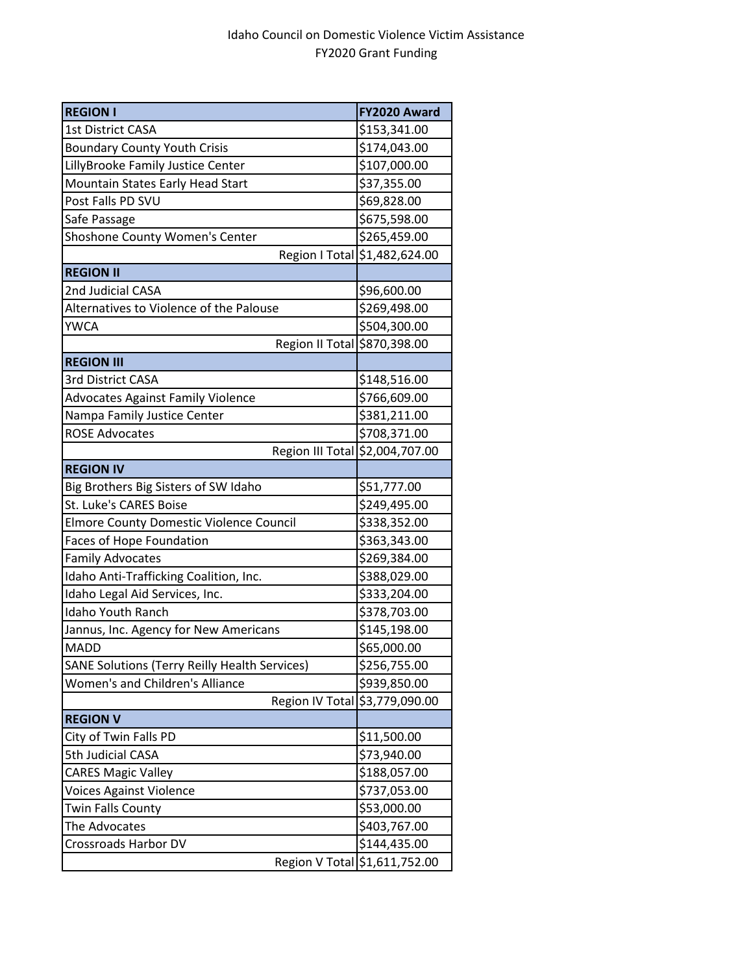## Idaho Council on Domestic Violence Victim Assistance FY2020 Grant Funding

| <b>REGION I</b>                                      | FY2020 Award                  |
|------------------------------------------------------|-------------------------------|
| <b>1st District CASA</b>                             | \$153,341.00                  |
| <b>Boundary County Youth Crisis</b>                  | \$174,043.00                  |
| LillyBrooke Family Justice Center                    | \$107,000.00                  |
| Mountain States Early Head Start                     | \$37,355.00                   |
| Post Falls PD SVU                                    | \$69,828.00                   |
| Safe Passage                                         | \$675,598.00                  |
| Shoshone County Women's Center                       | \$265,459.00                  |
|                                                      | Region   Total \$1,482,624.00 |
| <b>REGION II</b>                                     |                               |
| 2nd Judicial CASA                                    | \$96,600.00                   |
| Alternatives to Violence of the Palouse              | \$269,498.00                  |
| <b>YWCA</b>                                          | \$504,300.00                  |
| Region II Total \$870,398.00                         |                               |
| <b>REGION III</b>                                    |                               |
| 3rd District CASA                                    | \$148,516.00                  |
| <b>Advocates Against Family Violence</b>             | \$766,609.00                  |
| Nampa Family Justice Center                          | \$381,211.00                  |
| <b>ROSE Advocates</b>                                | \$708,371.00                  |
| Region III Total                                     | \$2,004,707.00                |
| <b>REGION IV</b>                                     |                               |
| Big Brothers Big Sisters of SW Idaho                 | \$51,777.00                   |
| St. Luke's CARES Boise                               | \$249,495.00                  |
| <b>Elmore County Domestic Violence Council</b>       | \$338,352.00                  |
| <b>Faces of Hope Foundation</b>                      | \$363,343.00                  |
| <b>Family Advocates</b>                              | \$269,384.00                  |
| Idaho Anti-Trafficking Coalition, Inc.               | \$388,029.00                  |
| Idaho Legal Aid Services, Inc.                       | \$333,204.00                  |
| <b>Idaho Youth Ranch</b>                             | \$378,703.00                  |
| Jannus, Inc. Agency for New Americans                | \$145,198.00                  |
| <b>MADD</b>                                          | \$65,000.00                   |
| <b>SANE Solutions (Terry Reilly Health Services)</b> | \$256,755.00                  |
| Women's and Children's Alliance                      | \$939,850.00                  |
| Region IV Total                                      | \$3,779,090.00                |
| <b>REGION V</b>                                      |                               |
| City of Twin Falls PD                                | \$11,500.00                   |
| 5th Judicial CASA                                    | \$73,940.00                   |
| <b>CARES Magic Valley</b>                            | \$188,057.00                  |
| <b>Voices Against Violence</b>                       | \$737,053.00                  |
| Twin Falls County                                    | \$53,000.00                   |
| The Advocates                                        | \$403,767.00                  |
| Crossroads Harbor DV                                 | \$144,435.00                  |
|                                                      | Region V Total \$1,611,752.00 |